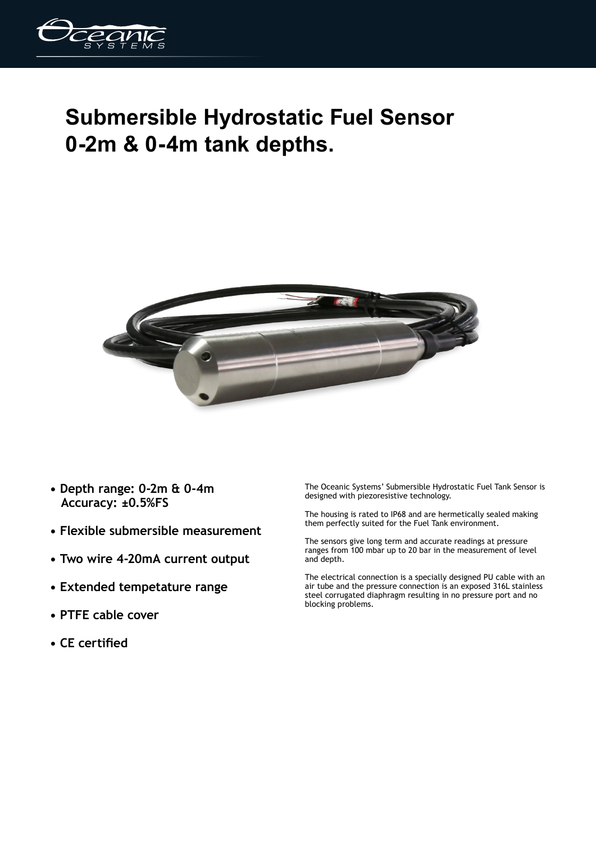

## **Submersible Hydrostatic Fuel Sensor 0-2m & 0-4m tank depths.**



- **Depth range: 0-2m & 0-4m Accuracy: ±0.5%FS**
- **Flexible submersible measurement**
- **Two wire 4-20mA current output**
- **Extended tempetature range**
- **PTFE cable cover**
- **CE certified**

The Oceanic Systems' Submersible Hydrostatic Fuel Tank Sensor is designed with piezoresistive technology.

The housing is rated to IP68 and are hermetically sealed making them perfectly suited for the Fuel Tank environment.

The sensors give long term and accurate readings at pressure ranges from 100 mbar up to 20 bar in the measurement of level and depth.

The electrical connection is a specially designed PU cable with an air tube and the pressure connection is an exposed 316L stainless steel corrugated diaphragm resulting in no pressure port and no blocking problems.